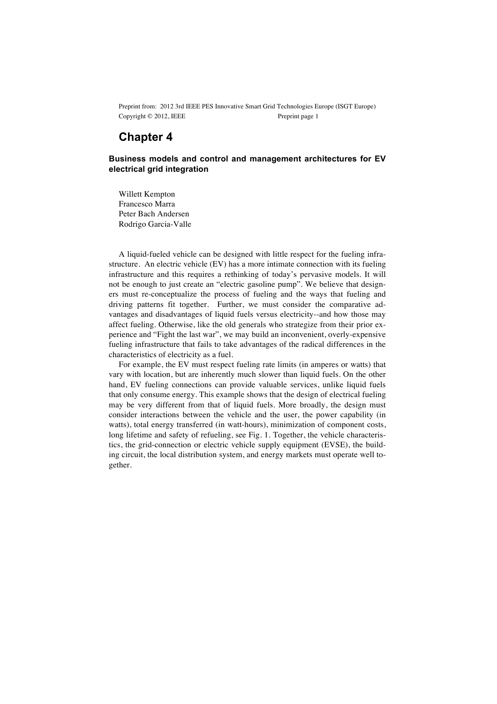Preprint from: 2012 3rd IEEE PES Innovative Smart Grid Technologies Europe (ISGT Europe) Copyright © 2012, IEEE Preprint page 1

# **Chapter 4**

# **Business models and control and management architectures for EV electrical grid integration**

Willett Kempton Francesco Marra Peter Bach Andersen Rodrigo Garcia-Valle

A liquid-fueled vehicle can be designed with little respect for the fueling infrastructure. An electric vehicle (EV) has a more intimate connection with its fueling infrastructure and this requires a rethinking of today's pervasive models. It will not be enough to just create an "electric gasoline pump". We believe that designers must re-conceptualize the process of fueling and the ways that fueling and driving patterns fit together. Further, we must consider the comparative advantages and disadvantages of liquid fuels versus electricity--and how those may affect fueling. Otherwise, like the old generals who strategize from their prior experience and "Fight the last war", we may build an inconvenient, overly-expensive fueling infrastructure that fails to take advantages of the radical differences in the characteristics of electricity as a fuel.

For example, the EV must respect fueling rate limits (in amperes or watts) that vary with location, but are inherently much slower than liquid fuels. On the other hand, EV fueling connections can provide valuable services, unlike liquid fuels that only consume energy. This example shows that the design of electrical fueling may be very different from that of liquid fuels. More broadly, the design must consider interactions between the vehicle and the user, the power capability (in watts), total energy transferred (in watt-hours), minimization of component costs, long lifetime and safety of refueling, see Fig. 1. Together, the vehicle characteristics, the grid-connection or electric vehicle supply equipment (EVSE), the building circuit, the local distribution system, and energy markets must operate well together.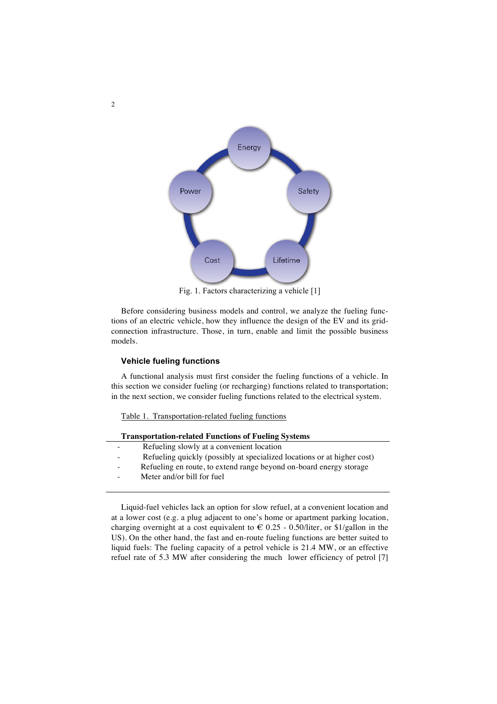

Fig. 1. Factors characterizing a vehicle [1]

Before considering business models and control, we analyze the fueling functions of an electric vehicle, how they influence the design of the EV and its gridconnection infrastructure. Those, in turn, enable and limit the possible business models.

## **Vehicle fueling functions**

A functional analysis must first consider the fueling functions of a vehicle. In this section we consider fueling (or recharging) functions related to transportation; in the next section, we consider fueling functions related to the electrical system.

Table 1. Transportation-related fueling functions

| <b>Transportation-related Functions of Fueling Systems</b> |                                                                         |  |  |  |
|------------------------------------------------------------|-------------------------------------------------------------------------|--|--|--|
|                                                            | Refueling slowly at a convenient location                               |  |  |  |
|                                                            | Refueling quickly (possibly at specialized locations or at higher cost) |  |  |  |
|                                                            | Refueling en route, to extend range beyond on-board energy storage      |  |  |  |
|                                                            | Meter and/or bill for fuel                                              |  |  |  |
|                                                            |                                                                         |  |  |  |

Liquid-fuel vehicles lack an option for slow refuel, at a convenient location and at a lower cost (e.g. a plug adjacent to one's home or apartment parking location, charging overnight at a cost equivalent to  $\epsilon$  0.25 - 0.50/liter, or \$1/gallon in the US). On the other hand, the fast and en-route fueling functions are better suited to liquid fuels: The fueling capacity of a petrol vehicle is 21.4 MW, or an effective refuel rate of 5.3 MW after considering the much lower efficiency of petrol [7]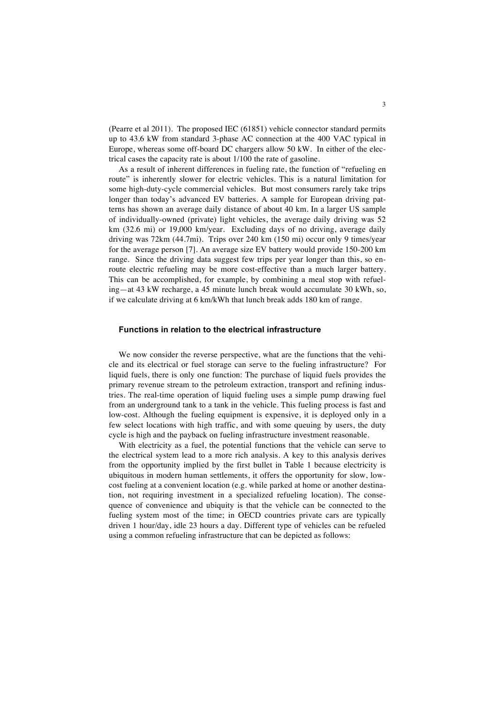(Pearre et al 2011). The proposed IEC (61851) vehicle connector standard permits up to 43.6 kW from standard 3-phase AC connection at the 400 VAC typical in Europe, whereas some off-board DC chargers allow 50 kW. In either of the electrical cases the capacity rate is about 1/100 the rate of gasoline.

As a result of inherent differences in fueling rate, the function of "refueling en route" is inherently slower for electric vehicles. This is a natural limitation for some high-duty-cycle commercial vehicles. But most consumers rarely take trips longer than today's advanced EV batteries. A sample for European driving patterns has shown an average daily distance of about 40 km. In a larger US sample of individually-owned (private) light vehicles, the average daily driving was 52 km (32.6 mi) or 19,000 km/year. Excluding days of no driving, average daily driving was 72km (44.7mi). Trips over 240 km (150 mi) occur only 9 times/year for the average person [7]. An average size EV battery would provide 150-200 km range. Since the driving data suggest few trips per year longer than this, so enroute electric refueling may be more cost-effective than a much larger battery. This can be accomplished, for example, by combining a meal stop with refueling—at 43 kW recharge, a 45 minute lunch break would accumulate 30 kWh, so, if we calculate driving at 6 km/kWh that lunch break adds 180 km of range.

#### **Functions in relation to the electrical infrastructure**

We now consider the reverse perspective, what are the functions that the vehicle and its electrical or fuel storage can serve to the fueling infrastructure? For liquid fuels, there is only one function: The purchase of liquid fuels provides the primary revenue stream to the petroleum extraction, transport and refining industries. The real-time operation of liquid fueling uses a simple pump drawing fuel from an underground tank to a tank in the vehicle. This fueling process is fast and low-cost. Although the fueling equipment is expensive, it is deployed only in a few select locations with high traffic, and with some queuing by users, the duty cycle is high and the payback on fueling infrastructure investment reasonable.

With electricity as a fuel, the potential functions that the vehicle can serve to the electrical system lead to a more rich analysis. A key to this analysis derives from the opportunity implied by the first bullet in Table 1 because electricity is ubiquitous in modern human settlements, it offers the opportunity for slow, lowcost fueling at a convenient location (e.g. while parked at home or another destination, not requiring investment in a specialized refueling location). The consequence of convenience and ubiquity is that the vehicle can be connected to the fueling system most of the time; in OECD countries private cars are typically driven 1 hour/day, idle 23 hours a day. Different type of vehicles can be refueled using a common refueling infrastructure that can be depicted as follows: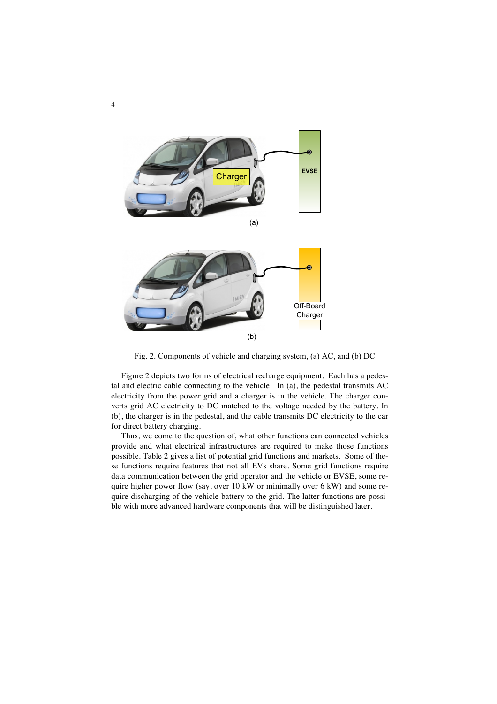

4

Fig. 2. Components of vehicle and charging system, (a) AC, and (b) DC

Figure 2 depicts two forms of electrical recharge equipment. Each has a pedestal and electric cable connecting to the vehicle. In (a), the pedestal transmits AC electricity from the power grid and a charger is in the vehicle. The charger converts grid AC electricity to DC matched to the voltage needed by the battery. In (b), the charger is in the pedestal, and the cable transmits DC electricity to the car for direct battery charging.

Thus, we come to the question of, what other functions can connected vehicles provide and what electrical infrastructures are required to make those functions possible. Table 2 gives a list of potential grid functions and markets. Some of these functions require features that not all EVs share. Some grid functions require data communication between the grid operator and the vehicle or EVSE, some require higher power flow (say, over 10 kW or minimally over 6 kW) and some require discharging of the vehicle battery to the grid. The latter functions are possible with more advanced hardware components that will be distinguished later.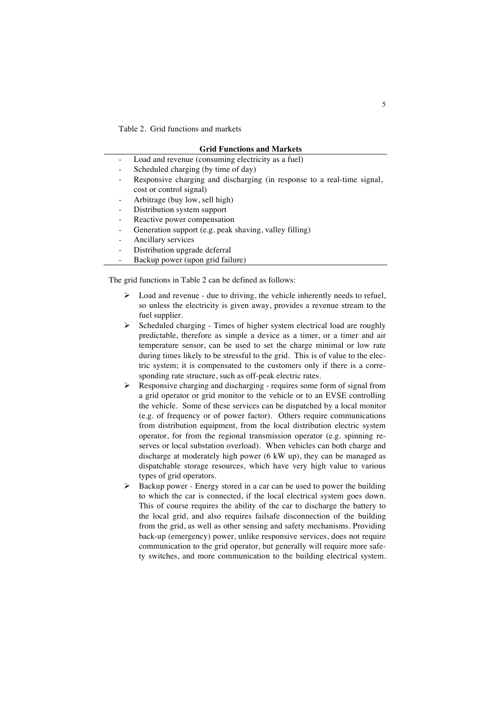Table 2. Grid functions and markets

#### **Grid Functions and Markets**

- Load and revenue (consuming electricity as a fuel)
- Scheduled charging (by time of day)
- Responsive charging and discharging (in response to a real-time signal, cost or control signal)
- Arbitrage (buy low, sell high)
- Distribution system support
- Reactive power compensation
- Generation support (e.g. peak shaving, valley filling)
- Ancillary services
- Distribution upgrade deferral
- Backup power (upon grid failure)

The grid functions in Table 2 can be defined as follows:

- $\triangleright$  Load and revenue due to driving, the vehicle inherently needs to refuel, so unless the electricity is given away, provides a revenue stream to the fuel supplier.
- $\triangleright$  Scheduled charging Times of higher system electrical load are roughly predictable, therefore as simple a device as a timer, or a timer and air temperature sensor, can be used to set the charge minimal or low rate during times likely to be stressful to the grid. This is of value to the electric system; it is compensated to the customers only if there is a corresponding rate structure, such as off-peak electric rates.
- $\triangleright$  Responsive charging and discharging requires some form of signal from a grid operator or grid monitor to the vehicle or to an EVSE controlling the vehicle. Some of these services can be dispatched by a local monitor (e.g. of frequency or of power factor). Others require communications from distribution equipment, from the local distribution electric system operator, for from the regional transmission operator (e.g. spinning reserves or local substation overload). When vehicles can both charge and discharge at moderately high power (6 kW up), they can be managed as dispatchable storage resources, which have very high value to various types of grid operators.
- Backup power Energy stored in a car can be used to power the building to which the car is connected, if the local electrical system goes down. This of course requires the ability of the car to discharge the battery to the local grid, and also requires failsafe disconnection of the building from the grid, as well as other sensing and safety mechanisms. Providing back-up (emergency) power, unlike responsive services, does not require communication to the grid operator, but generally will require more safety switches, and more communication to the building electrical system.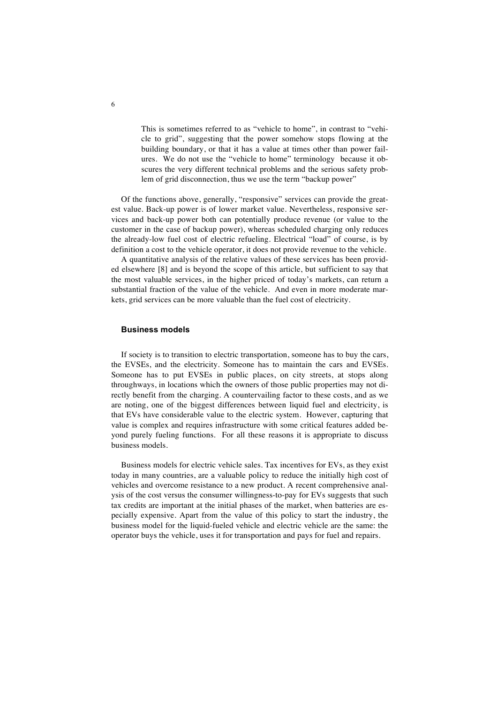This is sometimes referred to as "vehicle to home", in contrast to "vehicle to grid", suggesting that the power somehow stops flowing at the building boundary, or that it has a value at times other than power failures. We do not use the "vehicle to home" terminology because it obscures the very different technical problems and the serious safety problem of grid disconnection, thus we use the term "backup power"

Of the functions above, generally, "responsive" services can provide the greatest value. Back-up power is of lower market value. Nevertheless, responsive services and back-up power both can potentially produce revenue (or value to the customer in the case of backup power), whereas scheduled charging only reduces the already-low fuel cost of electric refueling. Electrical "load" of course, is by definition a cost to the vehicle operator, it does not provide revenue to the vehicle.

A quantitative analysis of the relative values of these services has been provided elsewhere [8] and is beyond the scope of this article, but sufficient to say that the most valuable services, in the higher priced of today's markets, can return a substantial fraction of the value of the vehicle. And even in more moderate markets, grid services can be more valuable than the fuel cost of electricity.

#### **Business models**

If society is to transition to electric transportation, someone has to buy the cars, the EVSEs, and the electricity. Someone has to maintain the cars and EVSEs. Someone has to put EVSEs in public places, on city streets, at stops along throughways, in locations which the owners of those public properties may not directly benefit from the charging. A countervailing factor to these costs, and as we are noting, one of the biggest differences between liquid fuel and electricity, is that EVs have considerable value to the electric system. However, capturing that value is complex and requires infrastructure with some critical features added beyond purely fueling functions. For all these reasons it is appropriate to discuss business models.

Business models for electric vehicle sales. Tax incentives for EVs, as they exist today in many countries, are a valuable policy to reduce the initially high cost of vehicles and overcome resistance to a new product. A recent comprehensive analysis of the cost versus the consumer willingness-to-pay for EVs suggests that such tax credits are important at the initial phases of the market, when batteries are especially expensive. Apart from the value of this policy to start the industry, the business model for the liquid-fueled vehicle and electric vehicle are the same: the operator buys the vehicle, uses it for transportation and pays for fuel and repairs.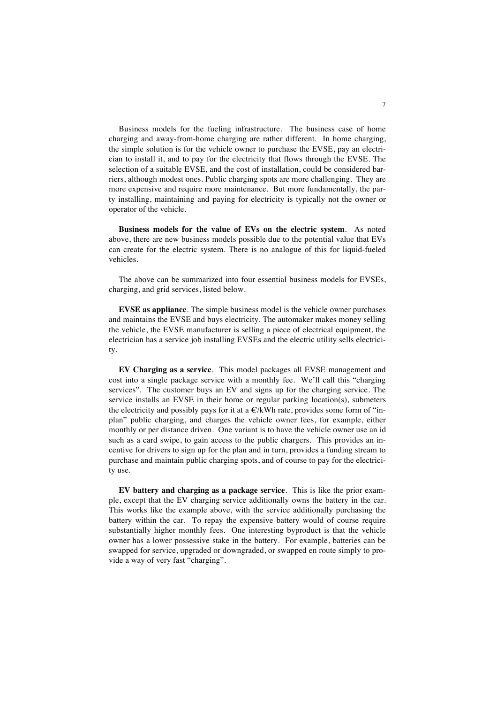Business models for the fueling infrastructure. The business case of home charging and away-from-home charging are rather different. In home charging, the simple solution is for the vehicle owner to purchase the EVSE, pay an electrician to install it, and to pay for the electricity that flows through the EVSE. The selection of a suitable EVSE, and the cost of installation, could be considered barriers, although modest ones. Public charging spots are more challenging. They are more expensive and require more maintenance. But more fundamentally, the party installing, maintaining and paying for electricity is typically not the owner or operator of the vehicle.

**Business models for the value of EVs on the electric system**. As noted above, there are new business models possible due to the potential value that EVs can create for the electric system. There is no analogue of this for liquid-fueled vehicles.

The above can be summarized into four essential business models for EVSEs, charging, and grid services, listed below.

**EVSE as appliance**. The simple business model is the vehicle owner purchases and maintains the EVSE and buys electricity. The automaker makes money selling the vehicle, the EVSE manufacturer is selling a piece of electrical equipment, the electrician has a service job installing EVSEs and the electric utility sells electricity.

**EV Charging as a service**. This model packages all EVSE management and cost into a single package service with a monthly fee. We'll call this "charging services". The customer buys an EV and signs up for the charging service. The service installs an EVSE in their home or regular parking location(s), submeters the electricity and possibly pays for it at a  $E/kWh$  rate, provides some form of "inplan" public charging, and charges the vehicle owner fees, for example, either monthly or per distance driven. One variant is to have the vehicle owner use an id such as a card swipe, to gain access to the public chargers. This provides an incentive for drivers to sign up for the plan and in turn, provides a funding stream to purchase and maintain public charging spots, and of course to pay for the electricity use.

**EV battery and charging as a package service**. This is like the prior example, except that the EV charging service additionally owns the battery in the car. This works like the example above, with the service additionally purchasing the battery within the car. To repay the expensive battery would of course require substantially higher monthly fees. One interesting byproduct is that the vehicle owner has a lower possessive stake in the battery. For example, batteries can be swapped for service, upgraded or downgraded, or swapped en route simply to provide a way of very fast "charging".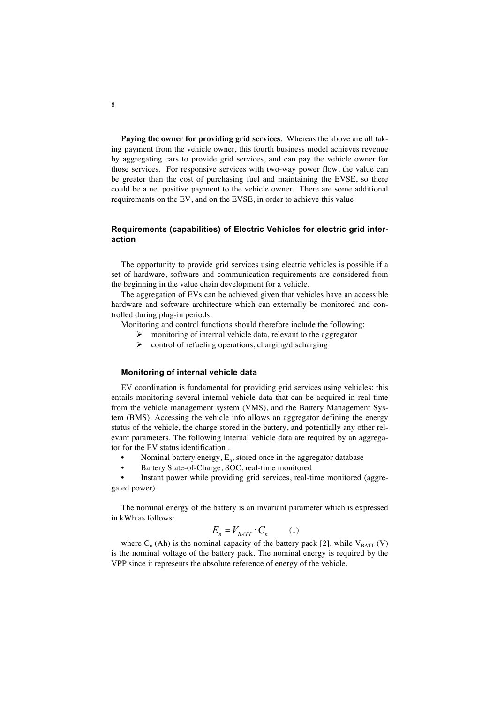**Paying the owner for providing grid services**. Whereas the above are all taking payment from the vehicle owner, this fourth business model achieves revenue by aggregating cars to provide grid services, and can pay the vehicle owner for those services. For responsive services with two-way power flow, the value can be greater than the cost of purchasing fuel and maintaining the EVSE, so there could be a net positive payment to the vehicle owner. There are some additional requirements on the EV, and on the EVSE, in order to achieve this value

# **Requirements (capabilities) of Electric Vehicles for electric grid interaction**

The opportunity to provide grid services using electric vehicles is possible if a set of hardware, software and communication requirements are considered from the beginning in the value chain development for a vehicle.

The aggregation of EVs can be achieved given that vehicles have an accessible hardware and software architecture which can externally be monitored and controlled during plug-in periods.

Monitoring and control functions should therefore include the following:

- $\triangleright$  monitoring of internal vehicle data, relevant to the aggregator
- $\triangleright$  control of refueling operations, charging/discharging

## **Monitoring of internal vehicle data**

EV coordination is fundamental for providing grid services using vehicles: this entails monitoring several internal vehicle data that can be acquired in real-time from the vehicle management system (VMS), and the Battery Management System (BMS). Accessing the vehicle info allows an aggregator defining the energy status of the vehicle, the charge stored in the battery, and potentially any other relevant parameters. The following internal vehicle data are required by an aggregator for the EV status identification .

- Nominal battery energy,  $E_n$ , stored once in the aggregator database
- Battery State-of-Charge, SOC, real-time monitored

Instant power while providing grid services, real-time monitored (aggregated power)

The nominal energy of the battery is an invariant parameter which is expressed in kWh as follows:

$$
E_n = V_{BAT} \cdot C_n \tag{1}
$$

where  $C_n$  (Ah) is the nominal capacity of the battery pack [2], while  $V_{BAT}$  (V) is the nominal voltage of the battery pack. The nominal energy is required by the VPP since it represents the absolute reference of energy of the vehicle.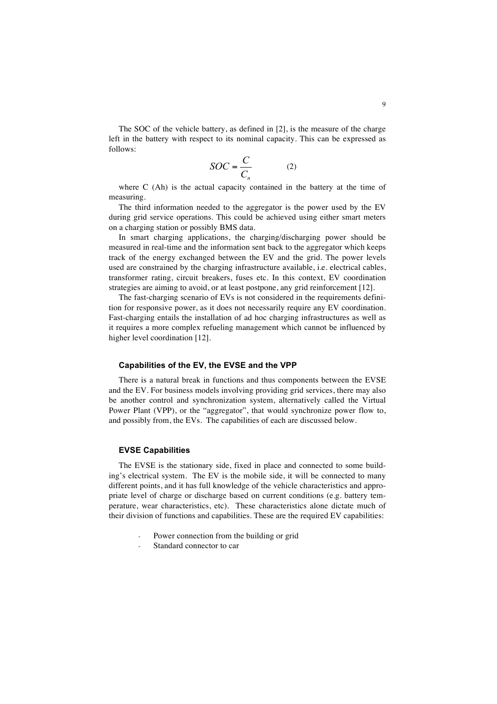The SOC of the vehicle battery, as defined in [2], is the measure of the charge left in the battery with respect to its nominal capacity. This can be expressed as follows:

$$
SOC = \frac{C}{C_n} \tag{2}
$$

where C (Ah) is the actual capacity contained in the battery at the time of measuring.

The third information needed to the aggregator is the power used by the EV during grid service operations. This could be achieved using either smart meters on a charging station or possibly BMS data.

In smart charging applications, the charging/discharging power should be measured in real-time and the information sent back to the aggregator which keeps track of the energy exchanged between the EV and the grid. The power levels used are constrained by the charging infrastructure available, i.e. electrical cables, transformer rating, circuit breakers, fuses etc. In this context, EV coordination strategies are aiming to avoid, or at least postpone, any grid reinforcement [12].

The fast-charging scenario of EVs is not considered in the requirements definition for responsive power, as it does not necessarily require any EV coordination. Fast-charging entails the installation of ad hoc charging infrastructures as well as it requires a more complex refueling management which cannot be influenced by higher level coordination [12].

#### **Capabilities of the EV, the EVSE and the VPP**

There is a natural break in functions and thus components between the EVSE and the EV. For business models involving providing grid services, there may also be another control and synchronization system, alternatively called the Virtual Power Plant (VPP), or the "aggregator", that would synchronize power flow to, and possibly from, the EVs. The capabilities of each are discussed below.

### **EVSE Capabilities**

The EVSE is the stationary side, fixed in place and connected to some building's electrical system. The EV is the mobile side, it will be connected to many different points, and it has full knowledge of the vehicle characteristics and appropriate level of charge or discharge based on current conditions (e.g. battery temperature, wear characteristics, etc). These characteristics alone dictate much of their division of functions and capabilities. These are the required EV capabilities:

- Power connection from the building or grid
- Standard connector to car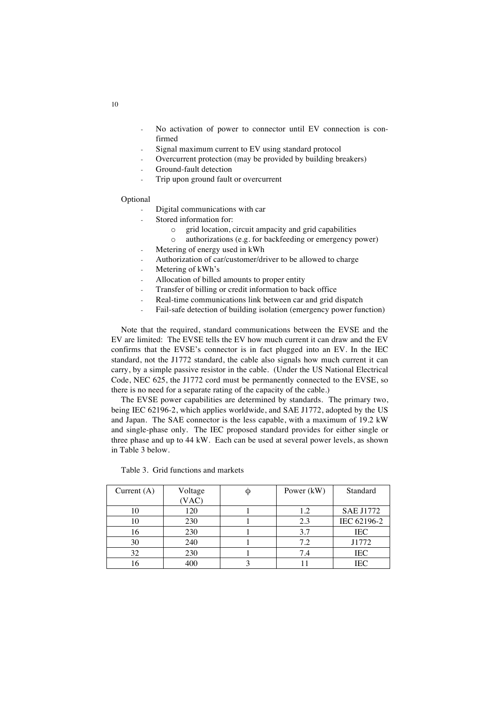- No activation of power to connector until EV connection is confirmed
- Signal maximum current to EV using standard protocol
- Overcurrent protection (may be provided by building breakers)
- Ground-fault detection
- Trip upon ground fault or overcurrent

#### Optional

- Digital communications with car
	- Stored information for:
		- o grid location, circuit ampacity and grid capabilities
			- o authorizations (e.g. for backfeeding or emergency power)
- Metering of energy used in kWh
- Authorization of car/customer/driver to be allowed to charge
- Metering of kWh's
- Allocation of billed amounts to proper entity
- Transfer of billing or credit information to back office
- Real-time communications link between car and grid dispatch
- Fail-safe detection of building isolation (emergency power function)

Note that the required, standard communications between the EVSE and the EV are limited: The EVSE tells the EV how much current it can draw and the EV confirms that the EVSE's connector is in fact plugged into an EV. In the IEC standard, not the J1772 standard, the cable also signals how much current it can carry, by a simple passive resistor in the cable. (Under the US National Electrical Code, NEC 625, the J1772 cord must be permanently connected to the EVSE, so there is no need for a separate rating of the capacity of the cable.)

The EVSE power capabilities are determined by standards. The primary two, being IEC 62196-2, which applies worldwide, and SAE J1772, adopted by the US and Japan. The SAE connector is the less capable, with a maximum of 19.2 kW and single-phase only. The IEC proposed standard provides for either single or three phase and up to 44 kW. Each can be used at several power levels, as shown in Table 3 below.

| Current $(A)$ | Voltage | Power $(kW)$ | Standard         |
|---------------|---------|--------------|------------------|
|               | (VAC)   |              |                  |
|               | 120     | 1.2          | <b>SAE J1772</b> |
| 10            | 230     | 2.3          | IEC 62196-2      |
| 16            | 230     | 3.7          | <b>IEC</b>       |
| 30            | 240     | 7.2          | J1772            |
| 32            | 230     | 7.4          | <b>IEC</b>       |
| 16            | 400     |              | IEC              |

|  |  | Table 3. Grid functions and markets |  |  |
|--|--|-------------------------------------|--|--|
|--|--|-------------------------------------|--|--|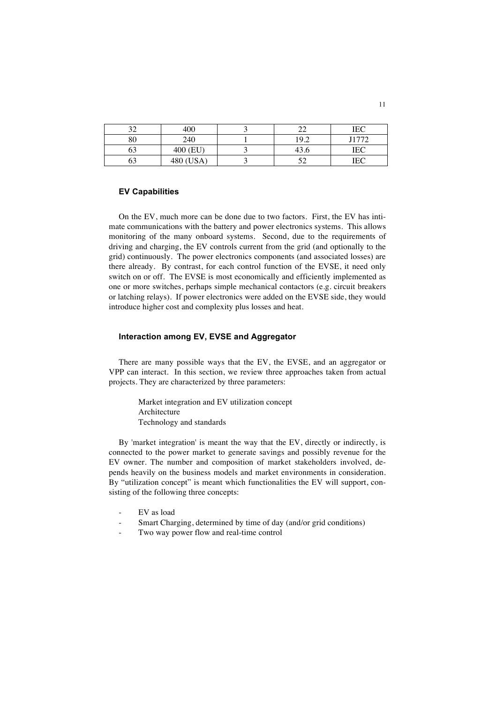| n n | 400        | $\sim$<br>--  | IEC      |
|-----|------------|---------------|----------|
| 80  | 240        | 1 Q C<br>17.Z | 11770    |
| υJ  | 400<br>ΈU  | 43.6          | IEC      |
| oq  | JSA<br>שט+ | ہ ہے<br>◡     | IEC<br>ᅭ |

# **EV Capabilities**

On the EV, much more can be done due to two factors. First, the EV has intimate communications with the battery and power electronics systems. This allows monitoring of the many onboard systems. Second, due to the requirements of driving and charging, the EV controls current from the grid (and optionally to the grid) continuously. The power electronics components (and associated losses) are there already. By contrast, for each control function of the EVSE, it need only switch on or off. The EVSE is most economically and efficiently implemented as one or more switches, perhaps simple mechanical contactors (e.g. circuit breakers or latching relays). If power electronics were added on the EVSE side, they would introduce higher cost and complexity plus losses and heat.

# **Interaction among EV, EVSE and Aggregator**

There are many possible ways that the EV, the EVSE, and an aggregator or VPP can interact. In this section, we review three approaches taken from actual projects. They are characterized by three parameters:

> Market integration and EV utilization concept Architecture Technology and standards

By 'market integration' is meant the way that the EV, directly or indirectly, is connected to the power market to generate savings and possibly revenue for the EV owner. The number and composition of market stakeholders involved, depends heavily on the business models and market environments in consideration. By "utilization concept" is meant which functionalities the EV will support, consisting of the following three concepts:

- EV as load
- Smart Charging, determined by time of day (and/or grid conditions)
- Two way power flow and real-time control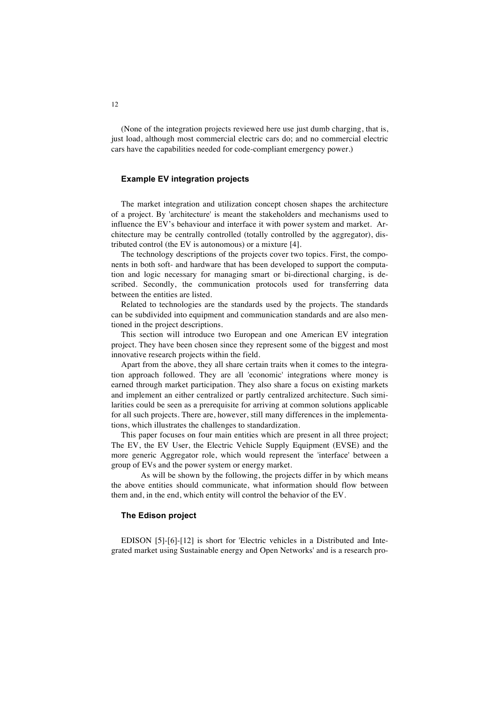(None of the integration projects reviewed here use just dumb charging, that is, just load, although most commercial electric cars do; and no commercial electric cars have the capabilities needed for code-compliant emergency power.)

# **Example EV integration projects**

The market integration and utilization concept chosen shapes the architecture of a project. By 'architecture' is meant the stakeholders and mechanisms used to influence the EV's behaviour and interface it with power system and market. Architecture may be centrally controlled (totally controlled by the aggregator), distributed control (the EV is autonomous) or a mixture [4].

The technology descriptions of the projects cover two topics. First, the components in both soft- and hardware that has been developed to support the computation and logic necessary for managing smart or bi-directional charging, is described. Secondly, the communication protocols used for transferring data between the entities are listed.

Related to technologies are the standards used by the projects. The standards can be subdivided into equipment and communication standards and are also mentioned in the project descriptions.

This section will introduce two European and one American EV integration project. They have been chosen since they represent some of the biggest and most innovative research projects within the field.

Apart from the above, they all share certain traits when it comes to the integration approach followed. They are all 'economic' integrations where money is earned through market participation. They also share a focus on existing markets and implement an either centralized or partly centralized architecture. Such similarities could be seen as a prerequisite for arriving at common solutions applicable for all such projects. There are, however, still many differences in the implementations, which illustrates the challenges to standardization.

This paper focuses on four main entities which are present in all three project; The EV, the EV User, the Electric Vehicle Supply Equipment (EVSE) and the more generic Aggregator role, which would represent the 'interface' between a group of EVs and the power system or energy market.

As will be shown by the following, the projects differ in by which means the above entities should communicate, what information should flow between them and, in the end, which entity will control the behavior of the EV.

#### **The Edison project**

EDISON [5]-[6]-[12] is short for 'Electric vehicles in a Distributed and Integrated market using Sustainable energy and Open Networks' and is a research pro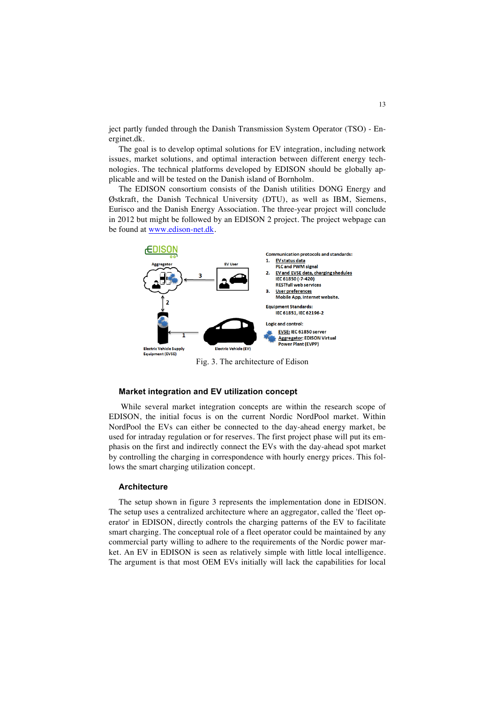ject partly funded through the Danish Transmission System Operator (TSO) - Energinet.dk.

The goal is to develop optimal solutions for EV integration, including network issues, market solutions, and optimal interaction between different energy technologies. The technical platforms developed by EDISON should be globally applicable and will be tested on the Danish island of Bornholm.

The EDISON consortium consists of the Danish utilities DONG Energy and Østkraft, the Danish Technical University (DTU), as well as IBM, Siemens, Eurisco and the Danish Energy Association. The three-year project will conclude in 2012 but might be followed by an EDISON 2 project. The project webpage can be found at www.edison-net.dk.



Fig. 3. The architecture of Edison

### **Market integration and EV utilization concept**

While several market integration concepts are within the research scope of EDISON, the initial focus is on the current Nordic NordPool market. Within NordPool the EVs can either be connected to the day-ahead energy market, be used for intraday regulation or for reserves. The first project phase will put its emphasis on the first and indirectly connect the EVs with the day-ahead spot market by controlling the charging in correspondence with hourly energy prices. This follows the smart charging utilization concept.

#### **Architecture**

The setup shown in figure 3 represents the implementation done in EDISON. The setup uses a centralized architecture where an aggregator, called the 'fleet operator' in EDISON, directly controls the charging patterns of the EV to facilitate smart charging. The conceptual role of a fleet operator could be maintained by any commercial party willing to adhere to the requirements of the Nordic power market. An EV in EDISON is seen as relatively simple with little local intelligence. The argument is that most OEM EVs initially will lack the capabilities for local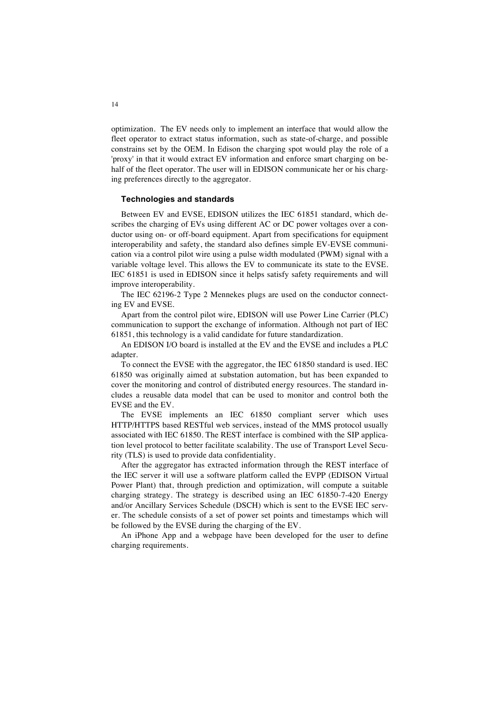optimization. The EV needs only to implement an interface that would allow the fleet operator to extract status information, such as state-of-charge, and possible constrains set by the OEM. In Edison the charging spot would play the role of a 'proxy' in that it would extract EV information and enforce smart charging on behalf of the fleet operator. The user will in EDISON communicate her or his charging preferences directly to the aggregator.

#### **Technologies and standards**

Between EV and EVSE, EDISON utilizes the IEC 61851 standard, which describes the charging of EVs using different AC or DC power voltages over a conductor using on- or off-board equipment. Apart from specifications for equipment interoperability and safety, the standard also defines simple EV-EVSE communication via a control pilot wire using a pulse width modulated (PWM) signal with a variable voltage level. This allows the EV to communicate its state to the EVSE. IEC 61851 is used in EDISON since it helps satisfy safety requirements and will improve interoperability.

The IEC 62196-2 Type 2 Mennekes plugs are used on the conductor connecting EV and EVSE.

Apart from the control pilot wire, EDISON will use Power Line Carrier (PLC) communication to support the exchange of information. Although not part of IEC 61851, this technology is a valid candidate for future standardization.

An EDISON I/O board is installed at the EV and the EVSE and includes a PLC adapter.

To connect the EVSE with the aggregator, the IEC 61850 standard is used. IEC 61850 was originally aimed at substation automation, but has been expanded to cover the monitoring and control of distributed energy resources. The standard includes a reusable data model that can be used to monitor and control both the EVSE and the EV.

The EVSE implements an IEC 61850 compliant server which uses HTTP/HTTPS based RESTful web services, instead of the MMS protocol usually associated with IEC 61850. The REST interface is combined with the SIP application level protocol to better facilitate scalability. The use of Transport Level Security (TLS) is used to provide data confidentiality.

After the aggregator has extracted information through the REST interface of the IEC server it will use a software platform called the EVPP (EDISON Virtual Power Plant) that, through prediction and optimization, will compute a suitable charging strategy. The strategy is described using an IEC 61850-7-420 Energy and/or Ancillary Services Schedule (DSCH) which is sent to the EVSE IEC server. The schedule consists of a set of power set points and timestamps which will be followed by the EVSE during the charging of the EV.

An iPhone App and a webpage have been developed for the user to define charging requirements.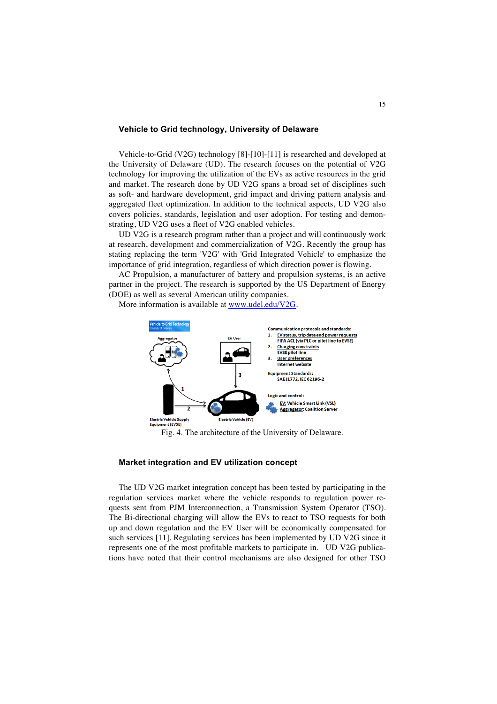#### **Vehicle to Grid technology, University of Delaware**

Vehicle-to-Grid (V2G) technology [8]-[10]-[11] is researched and developed at the University of Delaware (UD). The research focuses on the potential of V2G technology for improving the utilization of the EVs as active resources in the grid and market. The research done by UD V2G spans a broad set of disciplines such as soft- and hardware development, grid impact and driving pattern analysis and aggregated fleet optimization. In addition to the technical aspects, UD V2G also covers policies, standards, legislation and user adoption. For testing and demonstrating, UD V2G uses a fleet of V2G enabled vehicles.

UD V2G is a research program rather than a project and will continuously work at research, development and commercialization of V2G. Recently the group has stating replacing the term 'V2G' with 'Grid Integrated Vehicle' to emphasize the importance of grid integration, regardless of which direction power is flowing.

AC Propulsion, a manufacturer of battery and propulsion systems, is an active partner in the project. The research is supported by the US Department of Energy (DOE) as well as several American utility companies.

More information is available at www.udel.edu/V2G.



Fig. 4. The architecture of the University of Delaware.

# **Market integration and EV utilization concept**

The UD V2G market integration concept has been tested by participating in the regulation services market where the vehicle responds to regulation power requests sent from PJM Interconnection, a Transmission System Operator (TSO). The Bi-directional charging will allow the EVs to react to TSO requests for both up and down regulation and the EV User will be economically compensated for such services [11]. Regulating services has been implemented by UD V2G since it represents one of the most profitable markets to participate in. UD V2G publications have noted that their control mechanisms are also designed for other TSO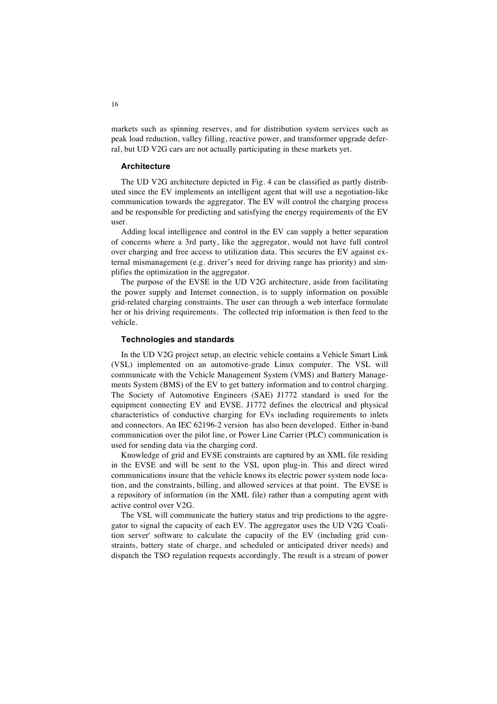markets such as spinning reserves, and for distribution system services such as peak load reduction, valley filling, reactive power, and transformer upgrade deferral, but UD V2G cars are not actually participating in these markets yet.

#### **Architecture**

The UD V2G architecture depicted in Fig. 4 can be classified as partly distributed since the EV implements an intelligent agent that will use a negotiation-like communication towards the aggregator. The EV will control the charging process and be responsible for predicting and satisfying the energy requirements of the EV user.

Adding local intelligence and control in the EV can supply a better separation of concerns where a 3rd party, like the aggregator, would not have full control over charging and free access to utilization data. This secures the EV against external mismanagement (e.g. driver's need for driving range has priority) and simplifies the optimization in the aggregator.

The purpose of the EVSE in the UD V2G architecture, aside from facilitating the power supply and Internet connection, is to supply information on possible grid-related charging constraints. The user can through a web interface formulate her or his driving requirements. The collected trip information is then feed to the vehicle.

#### **Technologies and standards**

In the UD V2G project setup, an electric vehicle contains a Vehicle Smart Link (VSL) implemented on an automotive-grade Linux computer. The VSL will communicate with the Vehicle Management System (VMS) and Battery Managements System (BMS) of the EV to get battery information and to control charging. The Society of Automotive Engineers (SAE) J1772 standard is used for the equipment connecting EV and EVSE. J1772 defines the electrical and physical characteristics of conductive charging for EVs including requirements to inlets and connectors. An IEC 62196-2 version has also been developed. Either in-band communication over the pilot line, or Power Line Carrier (PLC) communication is used for sending data via the charging cord.

Knowledge of grid and EVSE constraints are captured by an XML file residing in the EVSE and will be sent to the VSL upon plug-in. This and direct wired communications insure that the vehicle knows its electric power system node location, and the constraints, billing, and allowed services at that point. The EVSE is a repository of information (in the XML file) rather than a computing agent with active control over V2G.

The VSL will communicate the battery status and trip predictions to the aggregator to signal the capacity of each EV. The aggregator uses the UD V2G 'Coalition server' software to calculate the capacity of the EV (including grid constraints, battery state of charge, and scheduled or anticipated driver needs) and dispatch the TSO regulation requests accordingly. The result is a stream of power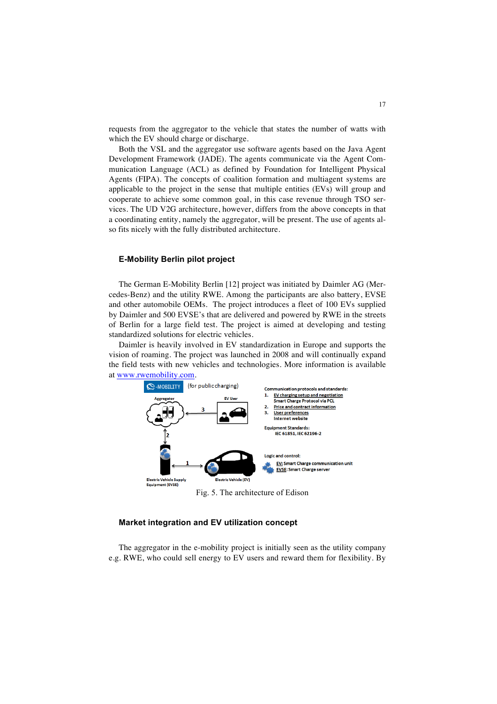requests from the aggregator to the vehicle that states the number of watts with which the EV should charge or discharge.

Both the VSL and the aggregator use software agents based on the Java Agent Development Framework (JADE). The agents communicate via the Agent Communication Language (ACL) as defined by Foundation for Intelligent Physical Agents (FIPA). The concepts of coalition formation and multiagent systems are applicable to the project in the sense that multiple entities (EVs) will group and cooperate to achieve some common goal, in this case revenue through TSO services. The UD V2G architecture, however, differs from the above concepts in that a coordinating entity, namely the aggregator, will be present. The use of agents also fits nicely with the fully distributed architecture.

# **E-Mobility Berlin pilot project**

The German E-Mobility Berlin [12] project was initiated by Daimler AG (Mercedes-Benz) and the utility RWE. Among the participants are also battery, EVSE and other automobile OEMs. The project introduces a fleet of 100 EVs supplied by Daimler and 500 EVSE's that are delivered and powered by RWE in the streets of Berlin for a large field test. The project is aimed at developing and testing standardized solutions for electric vehicles.

Daimler is heavily involved in EV standardization in Europe and supports the vision of roaming. The project was launched in 2008 and will continually expand the field tests with new vehicles and technologies. More information is available at www.rwemobility.com.



# **Market integration and EV utilization concept**

The aggregator in the e-mobility project is initially seen as the utility company e.g. RWE, who could sell energy to EV users and reward them for flexibility. By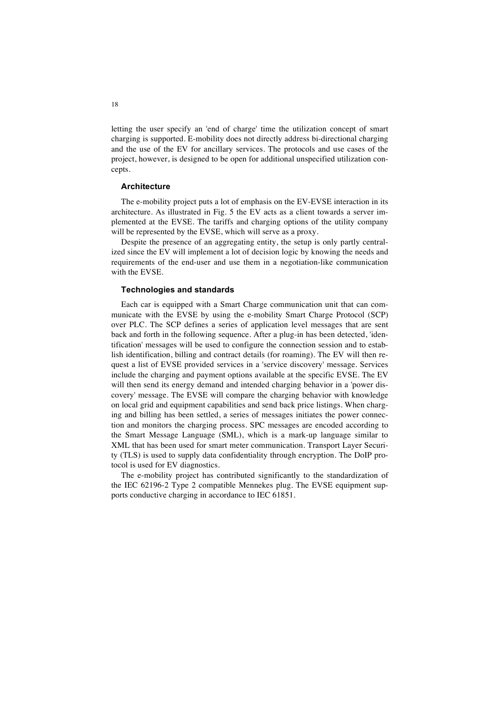letting the user specify an 'end of charge' time the utilization concept of smart charging is supported. E-mobility does not directly address bi-directional charging and the use of the EV for ancillary services. The protocols and use cases of the project, however, is designed to be open for additional unspecified utilization concepts.

# **Architecture**

The e-mobility project puts a lot of emphasis on the EV-EVSE interaction in its architecture. As illustrated in Fig. 5 the EV acts as a client towards a server implemented at the EVSE. The tariffs and charging options of the utility company will be represented by the EVSE, which will serve as a proxy.

Despite the presence of an aggregating entity, the setup is only partly centralized since the EV will implement a lot of decision logic by knowing the needs and requirements of the end-user and use them in a negotiation-like communication with the EVSE.

# **Technologies and standards**

Each car is equipped with a Smart Charge communication unit that can communicate with the EVSE by using the e-mobility Smart Charge Protocol (SCP) over PLC. The SCP defines a series of application level messages that are sent back and forth in the following sequence. After a plug-in has been detected, 'identification' messages will be used to configure the connection session and to establish identification, billing and contract details (for roaming). The EV will then request a list of EVSE provided services in a 'service discovery' message. Services include the charging and payment options available at the specific EVSE. The EV will then send its energy demand and intended charging behavior in a 'power discovery' message. The EVSE will compare the charging behavior with knowledge on local grid and equipment capabilities and send back price listings. When charging and billing has been settled, a series of messages initiates the power connection and monitors the charging process. SPC messages are encoded according to the Smart Message Language (SML), which is a mark-up language similar to XML that has been used for smart meter communication. Transport Layer Security (TLS) is used to supply data confidentiality through encryption. The DoIP protocol is used for EV diagnostics.

The e-mobility project has contributed significantly to the standardization of the IEC 62196-2 Type 2 compatible Mennekes plug. The EVSE equipment supports conductive charging in accordance to IEC 61851.